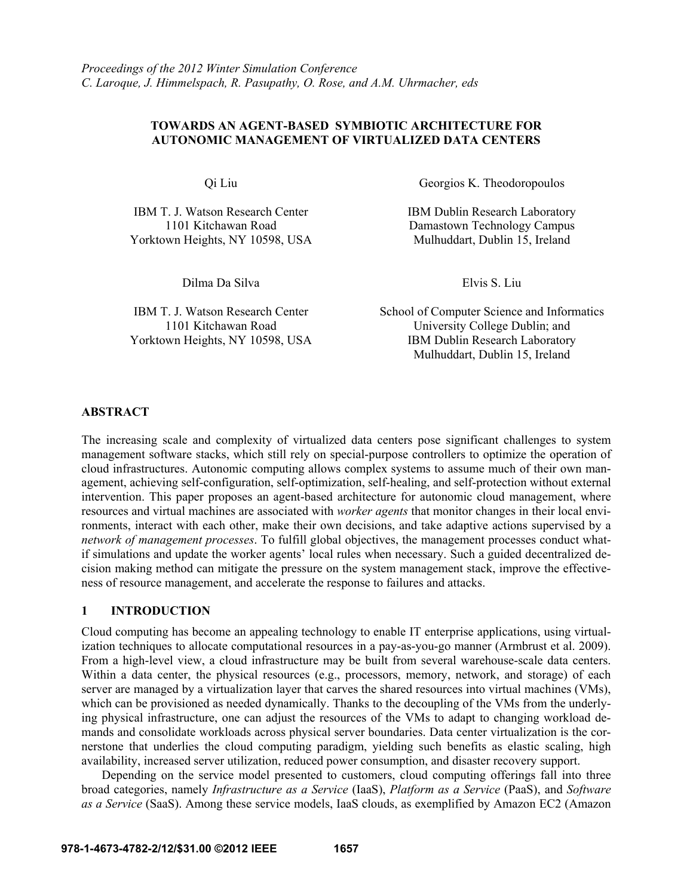## **TOWARDS AN AGENT-BASED SYMBIOTIC ARCHITECTURE FOR AUTONOMIC MANAGEMENT OF VIRTUALIZED DATA CENTERS**

IBM T. J. Watson Research Center IBM Dublin Research Laboratory Yorktown Heights, NY 10598, USA Mulhuddart, Dublin 15, Ireland

Dilma Da Silva Elvis S. Liu

Qi Liu Georgios K. Theodoropoulos

1101 Kitchawan Road Damastown Technology Campus

IBM T. J. Watson Research Center School of Computer Science and Informatics 1101 Kitchawan Road University College Dublin; and Yorktown Heights, NY 10598, USA IBM Dublin Research Laboratory Mulhuddart, Dublin 15, Ireland

## **ABSTRACT**

The increasing scale and complexity of virtualized data centers pose significant challenges to system management software stacks, which still rely on special-purpose controllers to optimize the operation of cloud infrastructures. Autonomic computing allows complex systems to assume much of their own management, achieving self-configuration, self-optimization, self-healing, and self-protection without external intervention. This paper proposes an agent-based architecture for autonomic cloud management, where resources and virtual machines are associated with *worker agents* that monitor changes in their local environments, interact with each other, make their own decisions, and take adaptive actions supervised by a *network of management processes*. To fulfill global objectives, the management processes conduct whatif simulations and update the worker agents' local rules when necessary. Such a guided decentralized decision making method can mitigate the pressure on the system management stack, improve the effectiveness of resource management, and accelerate the response to failures and attacks.

## **1 INTRODUCTION**

Cloud computing has become an appealing technology to enable IT enterprise applications, using virtualization techniques to allocate computational resources in a pay-as-you-go manner (Armbrust et al. 2009). From a high-level view, a cloud infrastructure may be built from several warehouse-scale data centers. Within a data center, the physical resources (e.g., processors, memory, network, and storage) of each server are managed by a virtualization layer that carves the shared resources into virtual machines (VMs), which can be provisioned as needed dynamically. Thanks to the decoupling of the VMs from the underlying physical infrastructure, one can adjust the resources of the VMs to adapt to changing workload demands and consolidate workloads across physical server boundaries. Data center virtualization is the cornerstone that underlies the cloud computing paradigm, yielding such benefits as elastic scaling, high availability, increased server utilization, reduced power consumption, and disaster recovery support.

Depending on the service model presented to customers, cloud computing offerings fall into three broad categories, namely *Infrastructure as a Service* (IaaS), *Platform as a Service* (PaaS), and *Software as a Service* (SaaS). Among these service models, IaaS clouds, as exemplified by Amazon EC2 (Amazon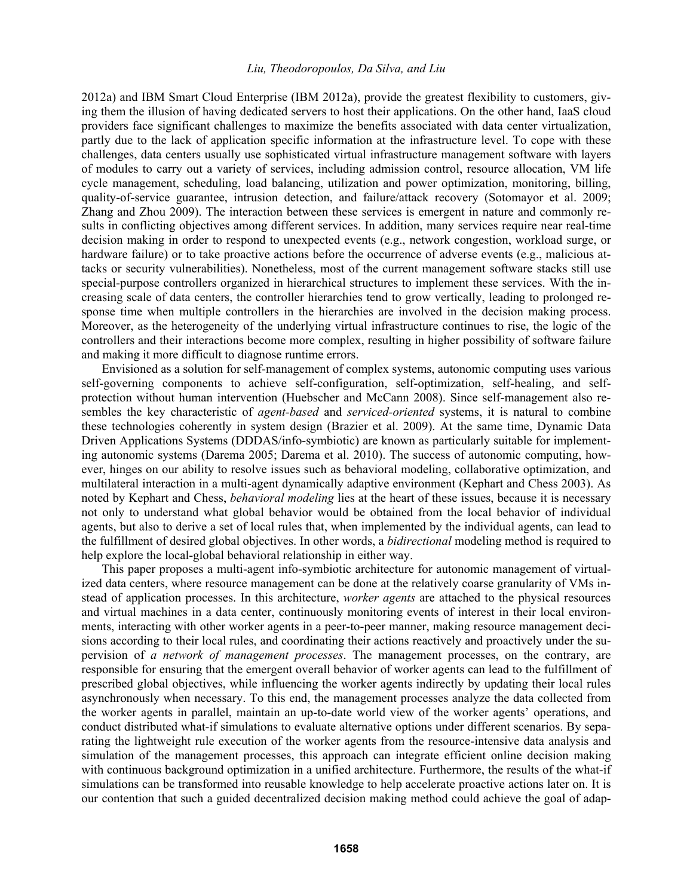2012a) and IBM Smart Cloud Enterprise (IBM 2012a), provide the greatest flexibility to customers, giving them the illusion of having dedicated servers to host their applications. On the other hand, IaaS cloud providers face significant challenges to maximize the benefits associated with data center virtualization, partly due to the lack of application specific information at the infrastructure level. To cope with these challenges, data centers usually use sophisticated virtual infrastructure management software with layers of modules to carry out a variety of services, including admission control, resource allocation, VM life cycle management, scheduling, load balancing, utilization and power optimization, monitoring, billing, quality-of-service guarantee, intrusion detection, and failure/attack recovery (Sotomayor et al. 2009; Zhang and Zhou 2009). The interaction between these services is emergent in nature and commonly results in conflicting objectives among different services. In addition, many services require near real-time decision making in order to respond to unexpected events (e.g., network congestion, workload surge, or hardware failure) or to take proactive actions before the occurrence of adverse events (e.g., malicious attacks or security vulnerabilities). Nonetheless, most of the current management software stacks still use special-purpose controllers organized in hierarchical structures to implement these services. With the increasing scale of data centers, the controller hierarchies tend to grow vertically, leading to prolonged response time when multiple controllers in the hierarchies are involved in the decision making process. Moreover, as the heterogeneity of the underlying virtual infrastructure continues to rise, the logic of the controllers and their interactions become more complex, resulting in higher possibility of software failure and making it more difficult to diagnose runtime errors.

Envisioned as a solution for self-management of complex systems, autonomic computing uses various self-governing components to achieve self-configuration, self-optimization, self-healing, and selfprotection without human intervention (Huebscher and McCann 2008). Since self-management also resembles the key characteristic of *agent-based* and *serviced-oriented* systems, it is natural to combine these technologies coherently in system design (Brazier et al. 2009). At the same time, Dynamic Data Driven Applications Systems (DDDAS/info-symbiotic) are known as particularly suitable for implementing autonomic systems (Darema 2005; Darema et al. 2010). The success of autonomic computing, however, hinges on our ability to resolve issues such as behavioral modeling, collaborative optimization, and multilateral interaction in a multi-agent dynamically adaptive environment (Kephart and Chess 2003). As noted by Kephart and Chess, *behavioral modeling* lies at the heart of these issues, because it is necessary not only to understand what global behavior would be obtained from the local behavior of individual agents, but also to derive a set of local rules that, when implemented by the individual agents, can lead to the fulfillment of desired global objectives. In other words, a *bidirectional* modeling method is required to help explore the local-global behavioral relationship in either way.

This paper proposes a multi-agent info-symbiotic architecture for autonomic management of virtualized data centers, where resource management can be done at the relatively coarse granularity of VMs instead of application processes. In this architecture, *worker agents* are attached to the physical resources and virtual machines in a data center, continuously monitoring events of interest in their local environments, interacting with other worker agents in a peer-to-peer manner, making resource management decisions according to their local rules, and coordinating their actions reactively and proactively under the supervision of *a network of management processes*. The management processes, on the contrary, are responsible for ensuring that the emergent overall behavior of worker agents can lead to the fulfillment of prescribed global objectives, while influencing the worker agents indirectly by updating their local rules asynchronously when necessary. To this end, the management processes analyze the data collected from the worker agents in parallel, maintain an up-to-date world view of the worker agents' operations, and conduct distributed what-if simulations to evaluate alternative options under different scenarios. By separating the lightweight rule execution of the worker agents from the resource-intensive data analysis and simulation of the management processes, this approach can integrate efficient online decision making with continuous background optimization in a unified architecture. Furthermore, the results of the what-if simulations can be transformed into reusable knowledge to help accelerate proactive actions later on. It is our contention that such a guided decentralized decision making method could achieve the goal of adap-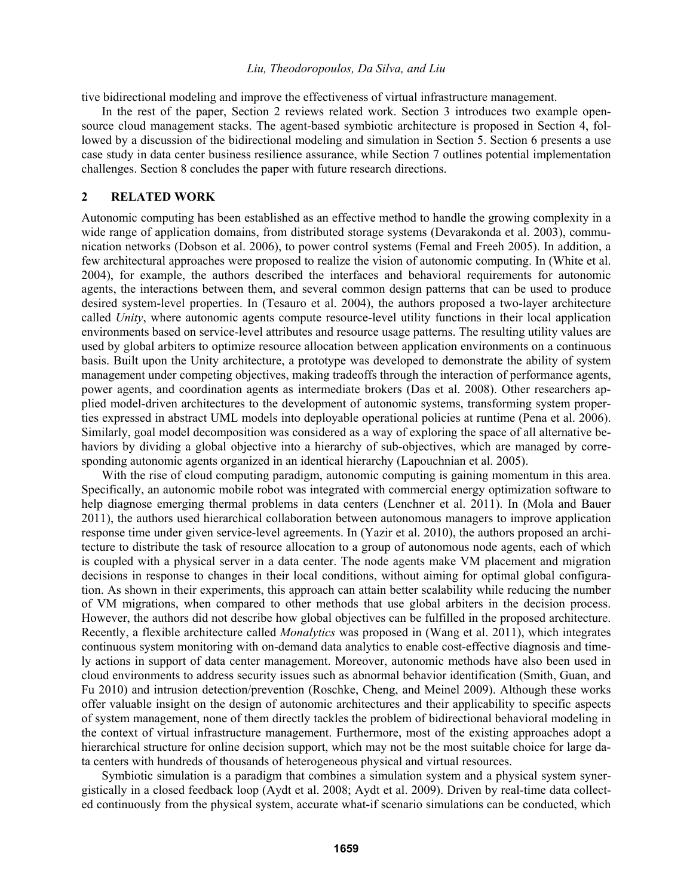tive bidirectional modeling and improve the effectiveness of virtual infrastructure management.

In the rest of the paper, Section 2 reviews related work. Section 3 introduces two example opensource cloud management stacks. The agent-based symbiotic architecture is proposed in Section 4, followed by a discussion of the bidirectional modeling and simulation in Section 5. Section 6 presents a use case study in data center business resilience assurance, while Section 7 outlines potential implementation challenges. Section 8 concludes the paper with future research directions.

#### **2 RELATED WORK**

Autonomic computing has been established as an effective method to handle the growing complexity in a wide range of application domains, from distributed storage systems (Devarakonda et al. 2003), communication networks (Dobson et al. 2006), to power control systems (Femal and Freeh 2005). In addition, a few architectural approaches were proposed to realize the vision of autonomic computing. In (White et al. 2004), for example, the authors described the interfaces and behavioral requirements for autonomic agents, the interactions between them, and several common design patterns that can be used to produce desired system-level properties. In (Tesauro et al. 2004), the authors proposed a two-layer architecture called *Unity*, where autonomic agents compute resource-level utility functions in their local application environments based on service-level attributes and resource usage patterns. The resulting utility values are used by global arbiters to optimize resource allocation between application environments on a continuous basis. Built upon the Unity architecture, a prototype was developed to demonstrate the ability of system management under competing objectives, making tradeoffs through the interaction of performance agents, power agents, and coordination agents as intermediate brokers (Das et al. 2008). Other researchers applied model-driven architectures to the development of autonomic systems, transforming system properties expressed in abstract UML models into deployable operational policies at runtime (Pena et al. 2006). Similarly, goal model decomposition was considered as a way of exploring the space of all alternative behaviors by dividing a global objective into a hierarchy of sub-objectives, which are managed by corresponding autonomic agents organized in an identical hierarchy (Lapouchnian et al. 2005).

With the rise of cloud computing paradigm, autonomic computing is gaining momentum in this area. Specifically, an autonomic mobile robot was integrated with commercial energy optimization software to help diagnose emerging thermal problems in data centers (Lenchner et al. 2011). In (Mola and Bauer 2011), the authors used hierarchical collaboration between autonomous managers to improve application response time under given service-level agreements. In (Yazir et al. 2010), the authors proposed an architecture to distribute the task of resource allocation to a group of autonomous node agents, each of which is coupled with a physical server in a data center. The node agents make VM placement and migration decisions in response to changes in their local conditions, without aiming for optimal global configuration. As shown in their experiments, this approach can attain better scalability while reducing the number of VM migrations, when compared to other methods that use global arbiters in the decision process. However, the authors did not describe how global objectives can be fulfilled in the proposed architecture. Recently, a flexible architecture called *Monalytics* was proposed in (Wang et al. 2011), which integrates continuous system monitoring with on-demand data analytics to enable cost-effective diagnosis and timely actions in support of data center management. Moreover, autonomic methods have also been used in cloud environments to address security issues such as abnormal behavior identification (Smith, Guan, and Fu 2010) and intrusion detection/prevention (Roschke, Cheng, and Meinel 2009). Although these works offer valuable insight on the design of autonomic architectures and their applicability to specific aspects of system management, none of them directly tackles the problem of bidirectional behavioral modeling in the context of virtual infrastructure management. Furthermore, most of the existing approaches adopt a hierarchical structure for online decision support, which may not be the most suitable choice for large data centers with hundreds of thousands of heterogeneous physical and virtual resources.

Symbiotic simulation is a paradigm that combines a simulation system and a physical system synergistically in a closed feedback loop (Aydt et al. 2008; Aydt et al. 2009). Driven by real-time data collected continuously from the physical system, accurate what-if scenario simulations can be conducted, which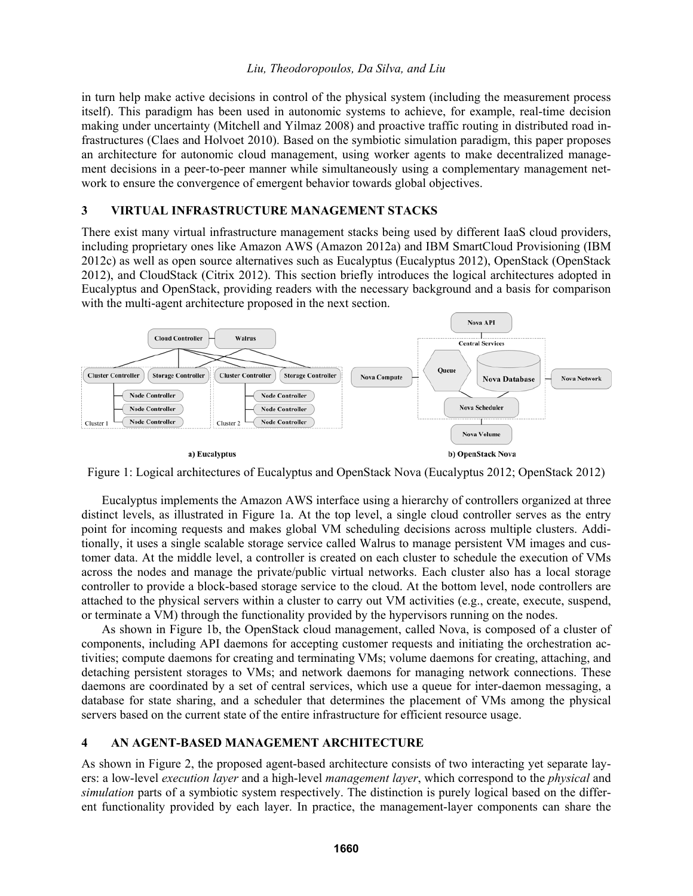in turn help make active decisions in control of the physical system (including the measurement process itself). This paradigm has been used in autonomic systems to achieve, for example, real-time decision making under uncertainty (Mitchell and Yilmaz 2008) and proactive traffic routing in distributed road infrastructures (Claes and Holvoet 2010). Based on the symbiotic simulation paradigm, this paper proposes an architecture for autonomic cloud management, using worker agents to make decentralized management decisions in a peer-to-peer manner while simultaneously using a complementary management network to ensure the convergence of emergent behavior towards global objectives.

## **3 VIRTUAL INFRASTRUCTURE MANAGEMENT STACKS**

There exist many virtual infrastructure management stacks being used by different IaaS cloud providers, including proprietary ones like Amazon AWS (Amazon 2012a) and IBM SmartCloud Provisioning (IBM 2012c) as well as open source alternatives such as Eucalyptus (Eucalyptus 2012), OpenStack (OpenStack 2012), and CloudStack (Citrix 2012). This section briefly introduces the logical architectures adopted in Eucalyptus and OpenStack, providing readers with the necessary background and a basis for comparison with the multi-agent architecture proposed in the next section.



Figure 1: Logical architectures of Eucalyptus and OpenStack Nova (Eucalyptus 2012; OpenStack 2012)

Eucalyptus implements the Amazon AWS interface using a hierarchy of controllers organized at three distinct levels, as illustrated in Figure 1a. At the top level, a single cloud controller serves as the entry point for incoming requests and makes global VM scheduling decisions across multiple clusters. Additionally, it uses a single scalable storage service called Walrus to manage persistent VM images and customer data. At the middle level, a controller is created on each cluster to schedule the execution of VMs across the nodes and manage the private/public virtual networks. Each cluster also has a local storage controller to provide a block-based storage service to the cloud. At the bottom level, node controllers are attached to the physical servers within a cluster to carry out VM activities (e.g., create, execute, suspend, or terminate a VM) through the functionality provided by the hypervisors running on the nodes.

As shown in Figure 1b, the OpenStack cloud management, called Nova, is composed of a cluster of components, including API daemons for accepting customer requests and initiating the orchestration activities; compute daemons for creating and terminating VMs; volume daemons for creating, attaching, and detaching persistent storages to VMs; and network daemons for managing network connections. These daemons are coordinated by a set of central services, which use a queue for inter-daemon messaging, a database for state sharing, and a scheduler that determines the placement of VMs among the physical servers based on the current state of the entire infrastructure for efficient resource usage.

## **4 AN AGENT-BASED MANAGEMENT ARCHITECTURE**

As shown in Figure 2, the proposed agent-based architecture consists of two interacting yet separate layers: a low-level *execution layer* and a high-level *management layer*, which correspond to the *physical* and *simulation* parts of a symbiotic system respectively. The distinction is purely logical based on the different functionality provided by each layer. In practice, the management-layer components can share the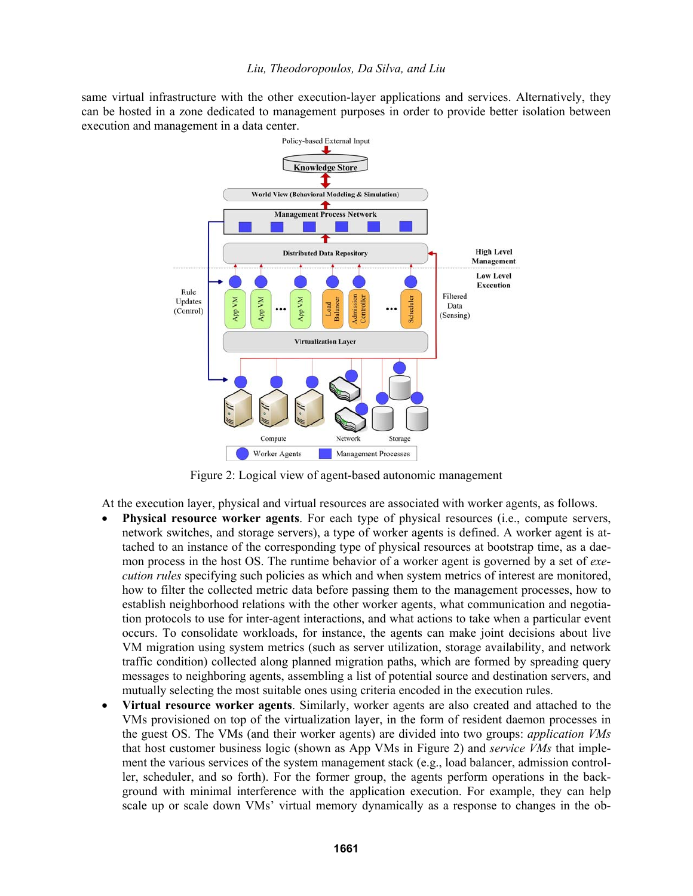same virtual infrastructure with the other execution-layer applications and services. Alternatively, they can be hosted in a zone dedicated to management purposes in order to provide better isolation between execution and management in a data center.



Figure 2: Logical view of agent-based autonomic management

At the execution layer, physical and virtual resources are associated with worker agents, as follows.

- **Physical resource worker agents**. For each type of physical resources (i.e., compute servers, network switches, and storage servers), a type of worker agents is defined. A worker agent is attached to an instance of the corresponding type of physical resources at bootstrap time, as a daemon process in the host OS. The runtime behavior of a worker agent is governed by a set of *execution rules* specifying such policies as which and when system metrics of interest are monitored, how to filter the collected metric data before passing them to the management processes, how to establish neighborhood relations with the other worker agents, what communication and negotiation protocols to use for inter-agent interactions, and what actions to take when a particular event occurs. To consolidate workloads, for instance, the agents can make joint decisions about live VM migration using system metrics (such as server utilization, storage availability, and network traffic condition) collected along planned migration paths, which are formed by spreading query messages to neighboring agents, assembling a list of potential source and destination servers, and mutually selecting the most suitable ones using criteria encoded in the execution rules.
- **Virtual resource worker agents**. Similarly, worker agents are also created and attached to the VMs provisioned on top of the virtualization layer, in the form of resident daemon processes in the guest OS. The VMs (and their worker agents) are divided into two groups: *application VMs* that host customer business logic (shown as App VMs in Figure 2) and *service VMs* that implement the various services of the system management stack (e.g., load balancer, admission controller, scheduler, and so forth). For the former group, the agents perform operations in the background with minimal interference with the application execution. For example, they can help scale up or scale down VMs' virtual memory dynamically as a response to changes in the ob-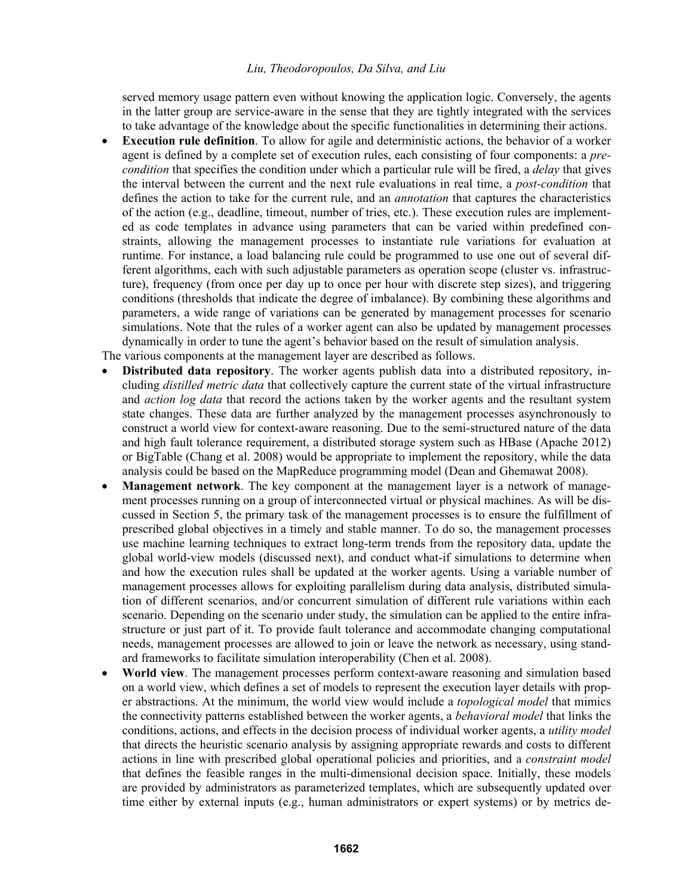served memory usage pattern even without knowing the application logic. Conversely, the agents in the latter group are service-aware in the sense that they are tightly integrated with the services to take advantage of the knowledge about the specific functionalities in determining their actions.

- **Execution rule definition**. To allow for agile and deterministic actions, the behavior of a worker agent is defined by a complete set of execution rules, each consisting of four components: a *precondition* that specifies the condition under which a particular rule will be fired, a *delay* that gives the interval between the current and the next rule evaluations in real time, a *post-condition* that defines the action to take for the current rule, and an *annotation* that captures the characteristics of the action (e.g., deadline, timeout, number of tries, etc.). These execution rules are implemented as code templates in advance using parameters that can be varied within predefined constraints, allowing the management processes to instantiate rule variations for evaluation at runtime. For instance, a load balancing rule could be programmed to use one out of several different algorithms, each with such adjustable parameters as operation scope (cluster vs. infrastructure), frequency (from once per day up to once per hour with discrete step sizes), and triggering conditions (thresholds that indicate the degree of imbalance). By combining these algorithms and parameters, a wide range of variations can be generated by management processes for scenario simulations. Note that the rules of a worker agent can also be updated by management processes dynamically in order to tune the agent's behavior based on the result of simulation analysis. The various components at the management layer are described as follows.
- **Distributed data repository**. The worker agents publish data into a distributed repository, including *distilled metric data* that collectively capture the current state of the virtual infrastructure and *action log data* that record the actions taken by the worker agents and the resultant system state changes. These data are further analyzed by the management processes asynchronously to construct a world view for context-aware reasoning. Due to the semi-structured nature of the data and high fault tolerance requirement, a distributed storage system such as HBase (Apache 2012) or BigTable (Chang et al. 2008) would be appropriate to implement the repository, while the data analysis could be based on the MapReduce programming model (Dean and Ghemawat 2008).
- **Management network**. The key component at the management layer is a network of management processes running on a group of interconnected virtual or physical machines. As will be discussed in Section 5, the primary task of the management processes is to ensure the fulfillment of prescribed global objectives in a timely and stable manner. To do so, the management processes use machine learning techniques to extract long-term trends from the repository data, update the global world-view models (discussed next), and conduct what-if simulations to determine when and how the execution rules shall be updated at the worker agents. Using a variable number of management processes allows for exploiting parallelism during data analysis, distributed simulation of different scenarios, and/or concurrent simulation of different rule variations within each scenario. Depending on the scenario under study, the simulation can be applied to the entire infrastructure or just part of it. To provide fault tolerance and accommodate changing computational needs, management processes are allowed to join or leave the network as necessary, using standard frameworks to facilitate simulation interoperability (Chen et al. 2008).
- **World view**. The management processes perform context-aware reasoning and simulation based on a world view, which defines a set of models to represent the execution layer details with proper abstractions. At the minimum, the world view would include a *topological model* that mimics the connectivity patterns established between the worker agents, a *behavioral model* that links the conditions, actions, and effects in the decision process of individual worker agents, a *utility model* that directs the heuristic scenario analysis by assigning appropriate rewards and costs to different actions in line with prescribed global operational policies and priorities, and a *constraint model* that defines the feasible ranges in the multi-dimensional decision space. Initially, these models are provided by administrators as parameterized templates, which are subsequently updated over time either by external inputs (e.g., human administrators or expert systems) or by metrics de-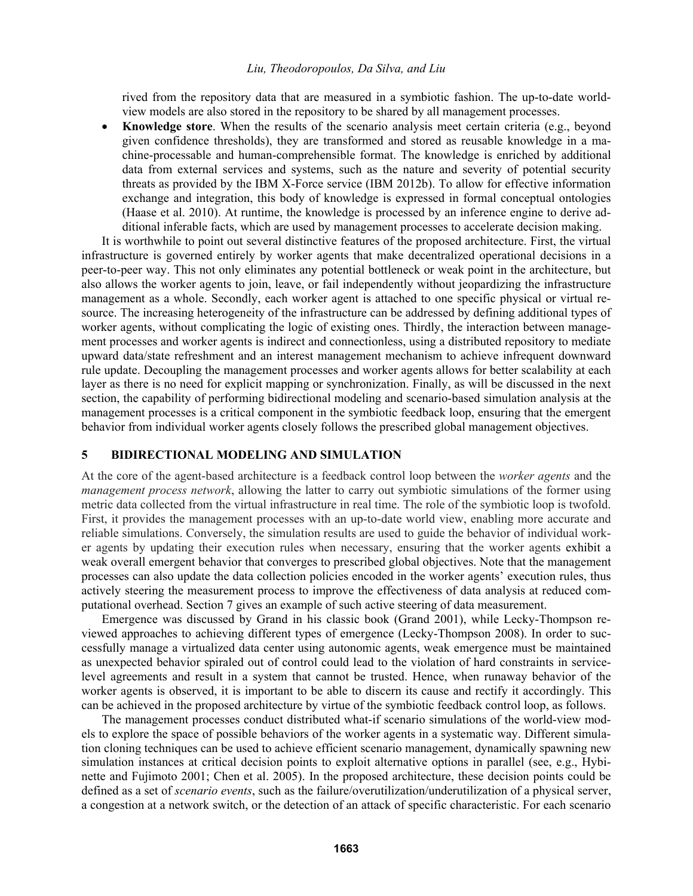rived from the repository data that are measured in a symbiotic fashion. The up-to-date worldview models are also stored in the repository to be shared by all management processes.

 **Knowledge store**. When the results of the scenario analysis meet certain criteria (e.g., beyond given confidence thresholds), they are transformed and stored as reusable knowledge in a machine-processable and human-comprehensible format. The knowledge is enriched by additional data from external services and systems, such as the nature and severity of potential security threats as provided by the IBM X-Force service (IBM 2012b). To allow for effective information exchange and integration, this body of knowledge is expressed in formal conceptual ontologies (Haase et al. 2010). At runtime, the knowledge is processed by an inference engine to derive additional inferable facts, which are used by management processes to accelerate decision making.

It is worthwhile to point out several distinctive features of the proposed architecture. First, the virtual infrastructure is governed entirely by worker agents that make decentralized operational decisions in a peer-to-peer way. This not only eliminates any potential bottleneck or weak point in the architecture, but also allows the worker agents to join, leave, or fail independently without jeopardizing the infrastructure management as a whole. Secondly, each worker agent is attached to one specific physical or virtual resource. The increasing heterogeneity of the infrastructure can be addressed by defining additional types of worker agents, without complicating the logic of existing ones. Thirdly, the interaction between management processes and worker agents is indirect and connectionless, using a distributed repository to mediate upward data/state refreshment and an interest management mechanism to achieve infrequent downward rule update. Decoupling the management processes and worker agents allows for better scalability at each layer as there is no need for explicit mapping or synchronization. Finally, as will be discussed in the next section, the capability of performing bidirectional modeling and scenario-based simulation analysis at the management processes is a critical component in the symbiotic feedback loop, ensuring that the emergent behavior from individual worker agents closely follows the prescribed global management objectives.

### **5 BIDIRECTIONAL MODELING AND SIMULATION**

At the core of the agent-based architecture is a feedback control loop between the *worker agents* and the *management process network*, allowing the latter to carry out symbiotic simulations of the former using metric data collected from the virtual infrastructure in real time. The role of the symbiotic loop is twofold. First, it provides the management processes with an up-to-date world view, enabling more accurate and reliable simulations. Conversely, the simulation results are used to guide the behavior of individual worker agents by updating their execution rules when necessary, ensuring that the worker agents exhibit a weak overall emergent behavior that converges to prescribed global objectives. Note that the management processes can also update the data collection policies encoded in the worker agents' execution rules, thus actively steering the measurement process to improve the effectiveness of data analysis at reduced computational overhead. Section 7 gives an example of such active steering of data measurement.

 Emergence was discussed by Grand in his classic book (Grand 2001), while Lecky-Thompson reviewed approaches to achieving different types of emergence (Lecky-Thompson 2008). In order to successfully manage a virtualized data center using autonomic agents, weak emergence must be maintained as unexpected behavior spiraled out of control could lead to the violation of hard constraints in servicelevel agreements and result in a system that cannot be trusted. Hence, when runaway behavior of the worker agents is observed, it is important to be able to discern its cause and rectify it accordingly. This can be achieved in the proposed architecture by virtue of the symbiotic feedback control loop, as follows.

The management processes conduct distributed what-if scenario simulations of the world-view models to explore the space of possible behaviors of the worker agents in a systematic way. Different simulation cloning techniques can be used to achieve efficient scenario management, dynamically spawning new simulation instances at critical decision points to exploit alternative options in parallel (see, e.g., Hybinette and Fujimoto 2001; Chen et al. 2005). In the proposed architecture, these decision points could be defined as a set of *scenario events*, such as the failure/overutilization/underutilization of a physical server, a congestion at a network switch, or the detection of an attack of specific characteristic. For each scenario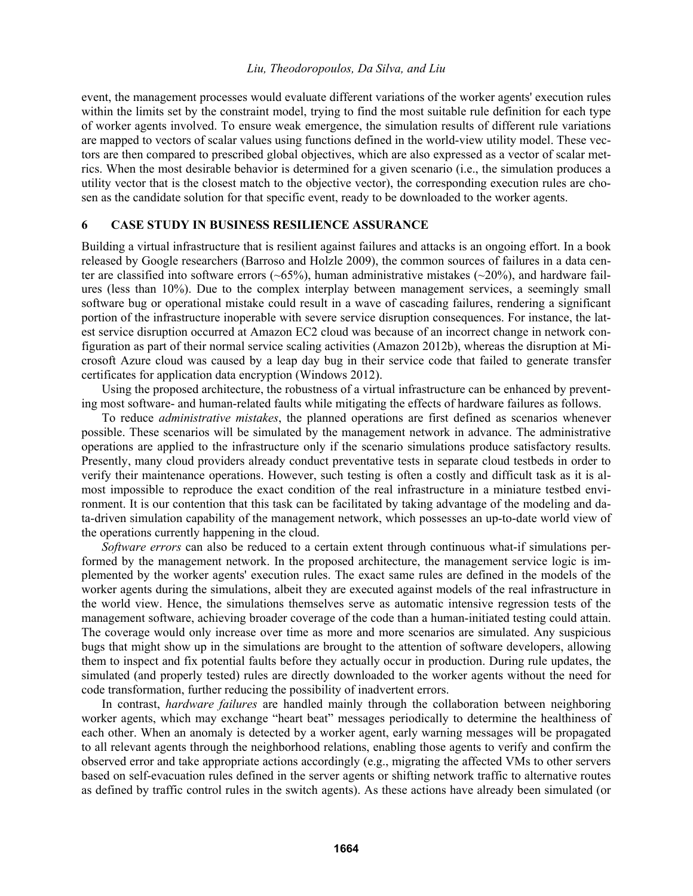event, the management processes would evaluate different variations of the worker agents' execution rules within the limits set by the constraint model, trying to find the most suitable rule definition for each type of worker agents involved. To ensure weak emergence, the simulation results of different rule variations are mapped to vectors of scalar values using functions defined in the world-view utility model. These vectors are then compared to prescribed global objectives, which are also expressed as a vector of scalar metrics. When the most desirable behavior is determined for a given scenario (i.e., the simulation produces a utility vector that is the closest match to the objective vector), the corresponding execution rules are chosen as the candidate solution for that specific event, ready to be downloaded to the worker agents.

## **6 CASE STUDY IN BUSINESS RESILIENCE ASSURANCE**

Building a virtual infrastructure that is resilient against failures and attacks is an ongoing effort. In a book released by Google researchers (Barroso and Holzle 2009), the common sources of failures in a data center are classified into software errors  $(-65%)$ , human administrative mistakes  $(-20%)$ , and hardware failures (less than 10%). Due to the complex interplay between management services, a seemingly small software bug or operational mistake could result in a wave of cascading failures, rendering a significant portion of the infrastructure inoperable with severe service disruption consequences. For instance, the latest service disruption occurred at Amazon EC2 cloud was because of an incorrect change in network configuration as part of their normal service scaling activities (Amazon 2012b), whereas the disruption at Microsoft Azure cloud was caused by a leap day bug in their service code that failed to generate transfer certificates for application data encryption (Windows 2012).

Using the proposed architecture, the robustness of a virtual infrastructure can be enhanced by preventing most software- and human-related faults while mitigating the effects of hardware failures as follows.

To reduce *administrative mistakes*, the planned operations are first defined as scenarios whenever possible. These scenarios will be simulated by the management network in advance. The administrative operations are applied to the infrastructure only if the scenario simulations produce satisfactory results. Presently, many cloud providers already conduct preventative tests in separate cloud testbeds in order to verify their maintenance operations. However, such testing is often a costly and difficult task as it is almost impossible to reproduce the exact condition of the real infrastructure in a miniature testbed environment. It is our contention that this task can be facilitated by taking advantage of the modeling and data-driven simulation capability of the management network, which possesses an up-to-date world view of the operations currently happening in the cloud.

*Software errors* can also be reduced to a certain extent through continuous what-if simulations performed by the management network. In the proposed architecture, the management service logic is implemented by the worker agents' execution rules. The exact same rules are defined in the models of the worker agents during the simulations, albeit they are executed against models of the real infrastructure in the world view. Hence, the simulations themselves serve as automatic intensive regression tests of the management software, achieving broader coverage of the code than a human-initiated testing could attain. The coverage would only increase over time as more and more scenarios are simulated. Any suspicious bugs that might show up in the simulations are brought to the attention of software developers, allowing them to inspect and fix potential faults before they actually occur in production. During rule updates, the simulated (and properly tested) rules are directly downloaded to the worker agents without the need for code transformation, further reducing the possibility of inadvertent errors.

In contrast, *hardware failures* are handled mainly through the collaboration between neighboring worker agents, which may exchange "heart beat" messages periodically to determine the healthiness of each other. When an anomaly is detected by a worker agent, early warning messages will be propagated to all relevant agents through the neighborhood relations, enabling those agents to verify and confirm the observed error and take appropriate actions accordingly (e.g., migrating the affected VMs to other servers based on self-evacuation rules defined in the server agents or shifting network traffic to alternative routes as defined by traffic control rules in the switch agents). As these actions have already been simulated (or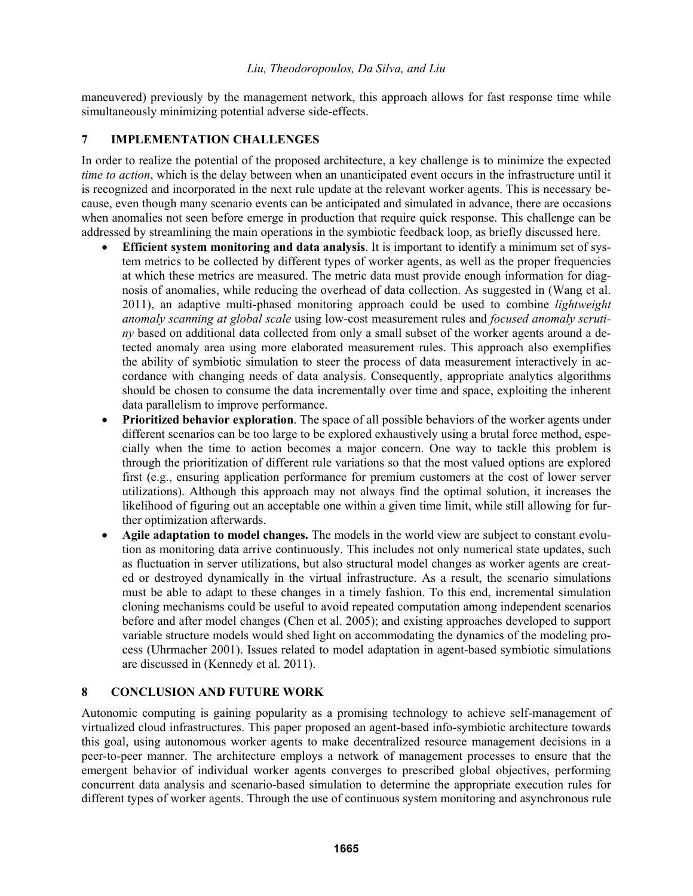maneuvered) previously by the management network, this approach allows for fast response time while simultaneously minimizing potential adverse side-effects.

# **7 IMPLEMENTATION CHALLENGES**

In order to realize the potential of the proposed architecture, a key challenge is to minimize the expected *time to action*, which is the delay between when an unanticipated event occurs in the infrastructure until it is recognized and incorporated in the next rule update at the relevant worker agents. This is necessary because, even though many scenario events can be anticipated and simulated in advance, there are occasions when anomalies not seen before emerge in production that require quick response. This challenge can be addressed by streamlining the main operations in the symbiotic feedback loop, as briefly discussed here.

- **Efficient system monitoring and data analysis**. It is important to identify a minimum set of system metrics to be collected by different types of worker agents, as well as the proper frequencies at which these metrics are measured. The metric data must provide enough information for diagnosis of anomalies, while reducing the overhead of data collection. As suggested in (Wang et al. 2011), an adaptive multi-phased monitoring approach could be used to combine *lightweight anomaly scanning at global scale* using low-cost measurement rules and *focused anomaly scrutiny* based on additional data collected from only a small subset of the worker agents around a detected anomaly area using more elaborated measurement rules. This approach also exemplifies the ability of symbiotic simulation to steer the process of data measurement interactively in accordance with changing needs of data analysis. Consequently, appropriate analytics algorithms should be chosen to consume the data incrementally over time and space, exploiting the inherent data parallelism to improve performance.
- **Prioritized behavior exploration**. The space of all possible behaviors of the worker agents under different scenarios can be too large to be explored exhaustively using a brutal force method, especially when the time to action becomes a major concern. One way to tackle this problem is through the prioritization of different rule variations so that the most valued options are explored first (e.g., ensuring application performance for premium customers at the cost of lower server utilizations). Although this approach may not always find the optimal solution, it increases the likelihood of figuring out an acceptable one within a given time limit, while still allowing for further optimization afterwards.
- **Agile adaptation to model changes.** The models in the world view are subject to constant evolution as monitoring data arrive continuously. This includes not only numerical state updates, such as fluctuation in server utilizations, but also structural model changes as worker agents are created or destroyed dynamically in the virtual infrastructure. As a result, the scenario simulations must be able to adapt to these changes in a timely fashion. To this end, incremental simulation cloning mechanisms could be useful to avoid repeated computation among independent scenarios before and after model changes (Chen et al. 2005); and existing approaches developed to support variable structure models would shed light on accommodating the dynamics of the modeling process (Uhrmacher 2001). Issues related to model adaptation in agent-based symbiotic simulations are discussed in (Kennedy et al. 2011).

# **8 CONCLUSION AND FUTURE WORK**

Autonomic computing is gaining popularity as a promising technology to achieve self-management of virtualized cloud infrastructures. This paper proposed an agent-based info-symbiotic architecture towards this goal, using autonomous worker agents to make decentralized resource management decisions in a peer-to-peer manner. The architecture employs a network of management processes to ensure that the emergent behavior of individual worker agents converges to prescribed global objectives, performing concurrent data analysis and scenario-based simulation to determine the appropriate execution rules for different types of worker agents. Through the use of continuous system monitoring and asynchronous rule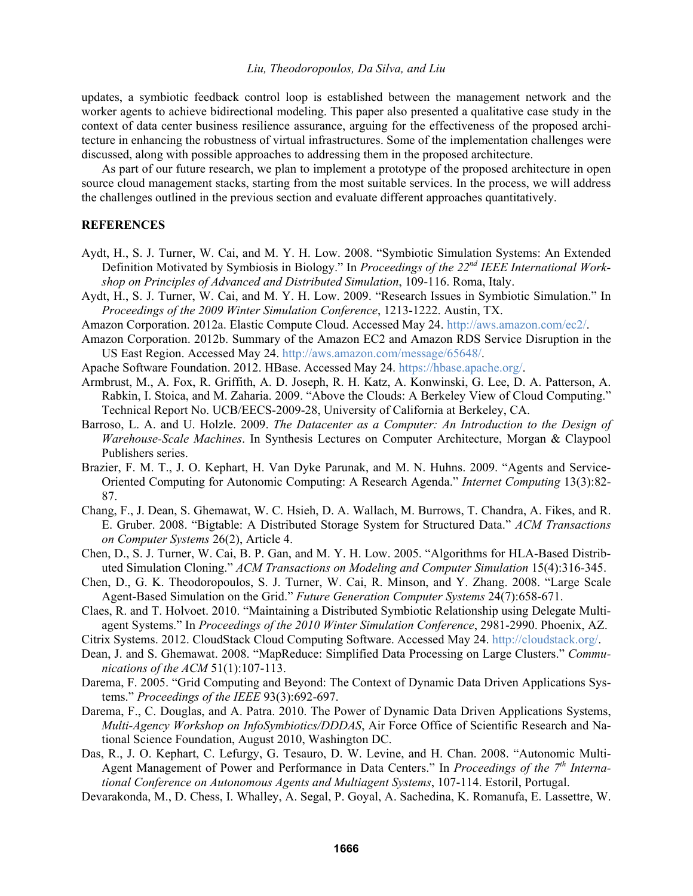updates, a symbiotic feedback control loop is established between the management network and the worker agents to achieve bidirectional modeling. This paper also presented a qualitative case study in the context of data center business resilience assurance, arguing for the effectiveness of the proposed architecture in enhancing the robustness of virtual infrastructures. Some of the implementation challenges were discussed, along with possible approaches to addressing them in the proposed architecture.

 As part of our future research, we plan to implement a prototype of the proposed architecture in open source cloud management stacks, starting from the most suitable services. In the process, we will address the challenges outlined in the previous section and evaluate different approaches quantitatively.

## **REFERENCES**

- Aydt, H., S. J. Turner, W. Cai, and M. Y. H. Low. 2008. "Symbiotic Simulation Systems: An Extended Definition Motivated by Symbiosis in Biology." In *Proceedings of the 22nd IEEE International Workshop on Principles of Advanced and Distributed Simulation*, 109-116. Roma, Italy.
- Aydt, H., S. J. Turner, W. Cai, and M. Y. H. Low. 2009. "Research Issues in Symbiotic Simulation." In *Proceedings of the 2009 Winter Simulation Conference*, 1213-1222. Austin, TX.
- Amazon Corporation. 2012a. Elastic Compute Cloud. Accessed May 24. http://aws.amazon.com/ec2/.
- Amazon Corporation. 2012b. Summary of the Amazon EC2 and Amazon RDS Service Disruption in the US East Region. Accessed May 24. http://aws.amazon.com/message/65648/.
- Apache Software Foundation. 2012. HBase. Accessed May 24. https://hbase.apache.org/.
- Armbrust, M., A. Fox, R. Griffith, A. D. Joseph, R. H. Katz, A. Konwinski, G. Lee, D. A. Patterson, A. Rabkin, I. Stoica, and M. Zaharia. 2009. "Above the Clouds: A Berkeley View of Cloud Computing." Technical Report No. UCB/EECS-2009-28, University of California at Berkeley, CA.
- Barroso, L. A. and U. Holzle. 2009. *The Datacenter as a Computer: An Introduction to the Design of Warehouse-Scale Machines*. In Synthesis Lectures on Computer Architecture, Morgan & Claypool Publishers series.
- Brazier, F. M. T., J. O. Kephart, H. Van Dyke Parunak, and M. N. Huhns. 2009. "Agents and Service-Oriented Computing for Autonomic Computing: A Research Agenda." *Internet Computing* 13(3):82- 87.
- Chang, F., J. Dean, S. Ghemawat, W. C. Hsieh, D. A. Wallach, M. Burrows, T. Chandra, A. Fikes, and R. E. Gruber. 2008. "Bigtable: A Distributed Storage System for Structured Data." *ACM Transactions on Computer Systems* 26(2), Article 4.
- Chen, D., S. J. Turner, W. Cai, B. P. Gan, and M. Y. H. Low. 2005. "Algorithms for HLA-Based Distributed Simulation Cloning." *ACM Transactions on Modeling and Computer Simulation* 15(4):316-345.
- Chen, D., G. K. Theodoropoulos, S. J. Turner, W. Cai, R. Minson, and Y. Zhang. 2008. "Large Scale Agent-Based Simulation on the Grid." *Future Generation Computer Systems* 24(7):658-671.
- Claes, R. and T. Holvoet. 2010. "Maintaining a Distributed Symbiotic Relationship using Delegate Multiagent Systems." In *Proceedings of the 2010 Winter Simulation Conference*, 2981-2990. Phoenix, AZ.
- Citrix Systems. 2012. CloudStack Cloud Computing Software. Accessed May 24. http://cloudstack.org/.
- Dean, J. and S. Ghemawat. 2008. "MapReduce: Simplified Data Processing on Large Clusters." *Communications of the ACM* 51(1):107-113.
- Darema, F. 2005. "Grid Computing and Beyond: The Context of Dynamic Data Driven Applications Systems." *Proceedings of the IEEE* 93(3):692-697.
- Darema, F., C. Douglas, and A. Patra. 2010. The Power of Dynamic Data Driven Applications Systems, *Multi-Agency Workshop on InfoSymbiotics/DDDAS*, Air Force Office of Scientific Research and National Science Foundation, August 2010, Washington DC.
- Das, R., J. O. Kephart, C. Lefurgy, G. Tesauro, D. W. Levine, and H. Chan. 2008. "Autonomic Multi-Agent Management of Power and Performance in Data Centers." In *Proceedings of the 7<sup>th</sup> International Conference on Autonomous Agents and Multiagent Systems*, 107-114. Estoril, Portugal.
- Devarakonda, M., D. Chess, I. Whalley, A. Segal, P. Goyal, A. Sachedina, K. Romanufa, E. Lassettre, W.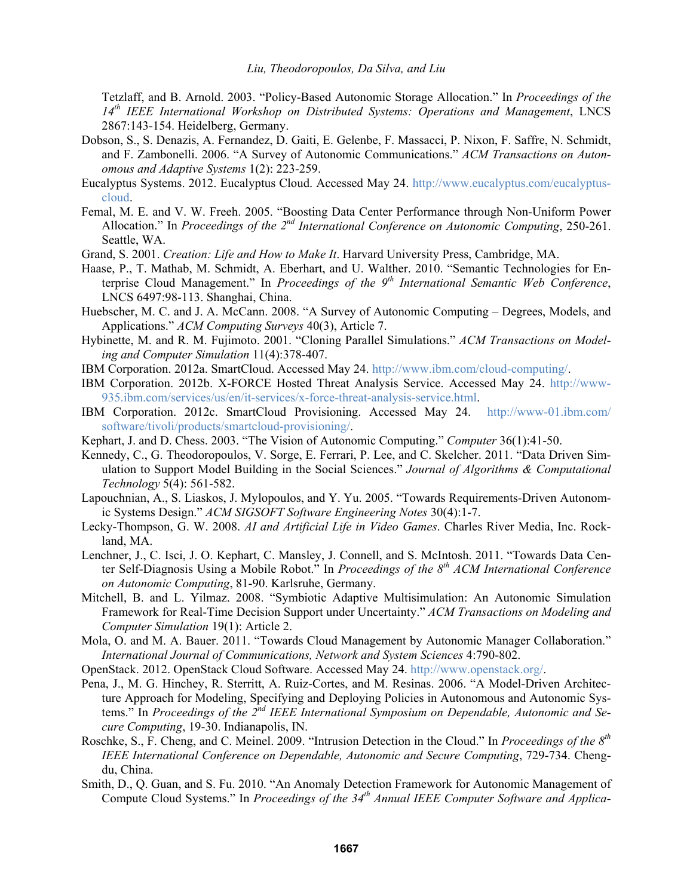Tetzlaff, and B. Arnold. 2003. "Policy-Based Autonomic Storage Allocation." In *Proceedings of the 14th IEEE International Workshop on Distributed Systems: Operations and Management*, LNCS 2867:143-154. Heidelberg, Germany.

- Dobson, S., S. Denazis, A. Fernandez, D. Gaiti, E. Gelenbe, F. Massacci, P. Nixon, F. Saffre, N. Schmidt, and F. Zambonelli. 2006. "A Survey of Autonomic Communications." *ACM Transactions on Autonomous and Adaptive Systems* 1(2): 223-259.
- Eucalyptus Systems. 2012. Eucalyptus Cloud. Accessed May 24. http://www.eucalyptus.com/eucalyptuscloud.
- Femal, M. E. and V. W. Freeh. 2005. "Boosting Data Center Performance through Non-Uniform Power Allocation." In *Proceedings of the 2nd International Conference on Autonomic Computing*, 250-261. Seattle, WA.
- Grand, S. 2001. *Creation: Life and How to Make It*. Harvard University Press, Cambridge, MA.
- Haase, P., T. Mathab, M. Schmidt, A. Eberhart, and U. Walther. 2010. "Semantic Technologies for Enterprise Cloud Management." In *Proceedings of the 9th International Semantic Web Conference*, LNCS 6497:98-113. Shanghai, China.
- Huebscher, M. C. and J. A. McCann. 2008. "A Survey of Autonomic Computing Degrees, Models, and Applications." *ACM Computing Surveys* 40(3), Article 7.
- Hybinette, M. and R. M. Fujimoto. 2001. "Cloning Parallel Simulations." *ACM Transactions on Modeling and Computer Simulation* 11(4):378-407.
- IBM Corporation. 2012a. SmartCloud. Accessed May 24. http://www.ibm.com/cloud-computing/.
- IBM Corporation. 2012b. X-FORCE Hosted Threat Analysis Service. Accessed May 24. http://www-935.ibm.com/services/us/en/it-services/x-force-threat-analysis-service.html.
- IBM Corporation. 2012c. SmartCloud Provisioning. Accessed May 24. http://www-01.ibm.com/ software/tivoli/products/smartcloud-provisioning/.
- Kephart, J. and D. Chess. 2003. "The Vision of Autonomic Computing." *Computer* 36(1):41-50.
- Kennedy, C., G. Theodoropoulos, V. Sorge, E. Ferrari, P. Lee, and C. Skelcher. 2011. "Data Driven Simulation to Support Model Building in the Social Sciences." *Journal of Algorithms & Computational Technology* 5(4): 561-582.
- Lapouchnian, A., S. Liaskos, J. Mylopoulos, and Y. Yu. 2005. "Towards Requirements-Driven Autonomic Systems Design." *ACM SIGSOFT Software Engineering Notes* 30(4):1-7.
- Lecky-Thompson, G. W. 2008. *AI and Artificial Life in Video Games*. Charles River Media, Inc. Rockland, MA.
- Lenchner, J., C. Isci, J. O. Kephart, C. Mansley, J. Connell, and S. McIntosh. 2011. "Towards Data Center Self-Diagnosis Using a Mobile Robot." In *Proceedings of the 8th ACM International Conference on Autonomic Computing*, 81-90. Karlsruhe, Germany.
- Mitchell, B. and L. Yilmaz. 2008. "Symbiotic Adaptive Multisimulation: An Autonomic Simulation Framework for Real-Time Decision Support under Uncertainty." *ACM Transactions on Modeling and Computer Simulation* 19(1): Article 2.
- Mola, O. and M. A. Bauer. 2011. "Towards Cloud Management by Autonomic Manager Collaboration." *International Journal of Communications, Network and System Sciences* 4:790-802.
- OpenStack. 2012. OpenStack Cloud Software. Accessed May 24. http://www.openstack.org/.
- Pena, J., M. G. Hinchey, R. Sterritt, A. Ruiz-Cortes, and M. Resinas. 2006. "A Model-Driven Architecture Approach for Modeling, Specifying and Deploying Policies in Autonomous and Autonomic Systems." In *Proceedings of the 2nd IEEE International Symposium on Dependable, Autonomic and Secure Computing*, 19-30. Indianapolis, IN.
- Roschke, S., F. Cheng, and C. Meinel. 2009. "Intrusion Detection in the Cloud." In *Proceedings of the 8th IEEE International Conference on Dependable, Autonomic and Secure Computing*, 729-734. Chengdu, China.
- Smith, D., Q. Guan, and S. Fu. 2010. "An Anomaly Detection Framework for Autonomic Management of Compute Cloud Systems." In *Proceedings of the 34th Annual IEEE Computer Software and Applica-*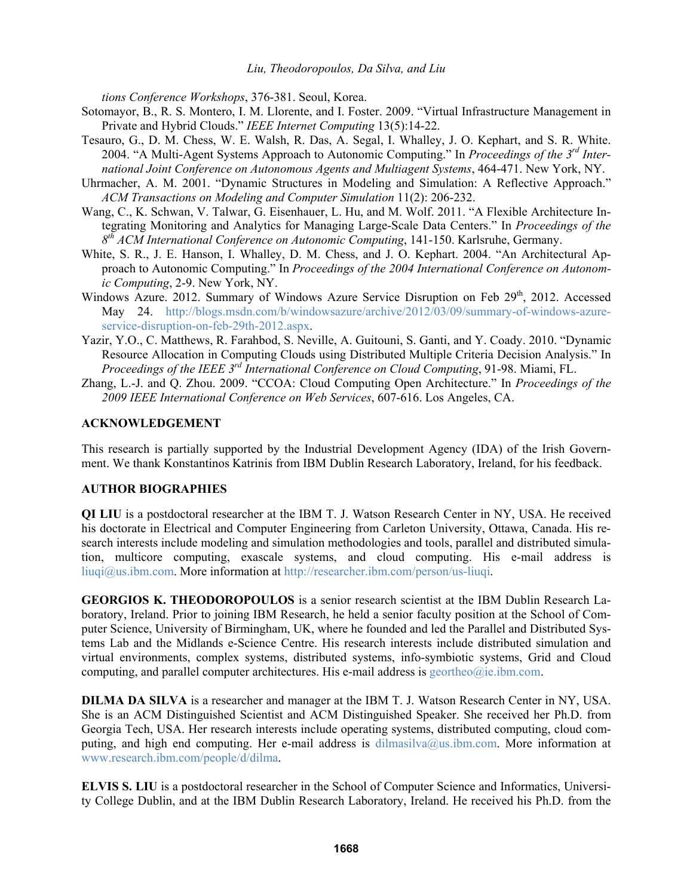*tions Conference Workshops*, 376-381. Seoul, Korea.

- Sotomayor, B., R. S. Montero, I. M. Llorente, and I. Foster. 2009. "Virtual Infrastructure Management in Private and Hybrid Clouds." *IEEE Internet Computing* 13(5):14-22.
- Tesauro, G., D. M. Chess, W. E. Walsh, R. Das, A. Segal, I. Whalley, J. O. Kephart, and S. R. White. 2004. "A Multi-Agent Systems Approach to Autonomic Computing." In *Proceedings of the 3rd International Joint Conference on Autonomous Agents and Multiagent Systems*, 464-471. New York, NY.
- Uhrmacher, A. M. 2001. "Dynamic Structures in Modeling and Simulation: A Reflective Approach." *ACM Transactions on Modeling and Computer Simulation* 11(2): 206-232.
- Wang, C., K. Schwan, V. Talwar, G. Eisenhauer, L. Hu, and M. Wolf. 2011. "A Flexible Architecture Integrating Monitoring and Analytics for Managing Large-Scale Data Centers." In *Proceedings of the 8th ACM International Conference on Autonomic Computing*, 141-150. Karlsruhe, Germany.
- White, S. R., J. E. Hanson, I. Whalley, D. M. Chess, and J. O. Kephart. 2004. "An Architectural Approach to Autonomic Computing." In *Proceedings of the 2004 International Conference on Autonomic Computing*, 2-9. New York, NY.
- Windows Azure. 2012. Summary of Windows Azure Service Disruption on Feb 29<sup>th</sup>, 2012. Accessed May 24. http://blogs.msdn.com/b/windowsazure/archive/2012/03/09/summary-of-windows-azureservice-disruption-on-feb-29th-2012.aspx.
- Yazir, Y.O., C. Matthews, R. Farahbod, S. Neville, A. Guitouni, S. Ganti, and Y. Coady. 2010. "Dynamic Resource Allocation in Computing Clouds using Distributed Multiple Criteria Decision Analysis." In *Proceedings of the IEEE 3rd International Conference on Cloud Computing*, 91-98. Miami, FL.
- Zhang, L.-J. and Q. Zhou. 2009. "CCOA: Cloud Computing Open Architecture." In *Proceedings of the 2009 IEEE International Conference on Web Services*, 607-616. Los Angeles, CA.

## **ACKNOWLEDGEMENT**

This research is partially supported by the Industrial Development Agency (IDA) of the Irish Government. We thank Konstantinos Katrinis from IBM Dublin Research Laboratory, Ireland, for his feedback.

## **AUTHOR BIOGRAPHIES**

**QI LIU** is a postdoctoral researcher at the IBM T. J. Watson Research Center in NY, USA. He received his doctorate in Electrical and Computer Engineering from Carleton University, Ottawa, Canada. His research interests include modeling and simulation methodologies and tools, parallel and distributed simulation, multicore computing, exascale systems, and cloud computing. His e-mail address is liuqi@us.ibm.com. More information at http://researcher.ibm.com/person/us-liuqi.

**GEORGIOS K. THEODOROPOULOS** is a senior research scientist at the IBM Dublin Research Laboratory, Ireland. Prior to joining IBM Research, he held a senior faculty position at the School of Computer Science, University of Birmingham, UK, where he founded and led the Parallel and Distributed Systems Lab and the Midlands e-Science Centre. His research interests include distributed simulation and virtual environments, complex systems, distributed systems, info-symbiotic systems, Grid and Cloud computing, and parallel computer architectures. His e-mail address is geortheo@ie.ibm.com.

**DILMA DA SILVA** is a researcher and manager at the IBM T. J. Watson Research Center in NY, USA. She is an ACM Distinguished Scientist and ACM Distinguished Speaker. She received her Ph.D. from Georgia Tech, USA. Her research interests include operating systems, distributed computing, cloud computing, and high end computing. Her e-mail address is dilmasilva@us.ibm.com. More information at www.research.ibm.com/people/d/dilma.

**ELVIS S. LIU** is a postdoctoral researcher in the School of Computer Science and Informatics, University College Dublin, and at the IBM Dublin Research Laboratory, Ireland. He received his Ph.D. from the